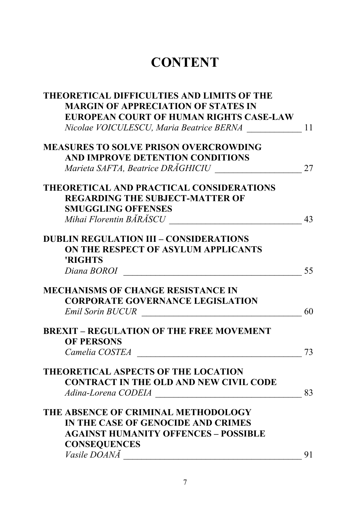## **CONTENT**

| THEORETICAL DIFFICULTIES AND LIMITS OF THE      |    |
|-------------------------------------------------|----|
| <b>MARGIN OF APPRECIATION OF STATES IN</b>      |    |
| EUROPEAN COURT OF HUMAN RIGHTS CASE-LAW         |    |
| Nicolae VOICULESCU, Maria Beatrice BERNA        | 11 |
| <b>MEASURES TO SOLVE PRISON OVERCROWDING</b>    |    |
| AND IMPROVE DETENTION CONDITIONS                |    |
| Marieta SAFTA, Beatrice DRĂGHICIU               | 27 |
| THEORETICAL AND PRACTICAL CONSIDERATIONS        |    |
| <b>REGARDING THE SUBJECT-MATTER OF</b>          |    |
| <b>SMUGGLING OFFENSES</b>                       |    |
|                                                 | 43 |
| <b>DUBLIN REGULATION III - CONSIDERATIONS</b>   |    |
| ON THE RESPECT OF ASYLUM APPLICANTS             |    |
| 'RIGHTS                                         |    |
| Diana BOROI                                     | 55 |
| <b>MECHANISMS OF CHANGE RESISTANCE IN</b>       |    |
| <b>CORPORATE GOVERNANCE LEGISLATION</b>         |    |
| <b>Emil Sorin BUCUR</b>                         | 60 |
| <b>BREXIT - REGULATION OF THE FREE MOVEMENT</b> |    |
| <b>OF PERSONS</b>                               |    |
| Camelia COSTEA                                  | 73 |
| <b>THEORETICAL ASPECTS OF THE LOCATION</b>      |    |
| <b>CONTRACT IN THE OLD AND NEW CIVIL CODE</b>   |    |
| Adina-Lorena CODEIA                             | 83 |
| THE ABSENCE OF CRIMINAL METHODOLOGY             |    |
| IN THE CASE OF GENOCIDE AND CRIMES              |    |
| <b>AGAINST HUMANITY OFFENCES - POSSIBLE</b>     |    |
| <b>CONSEQUENCES</b>                             |    |
| Vasile DOANĂ                                    | 91 |
|                                                 |    |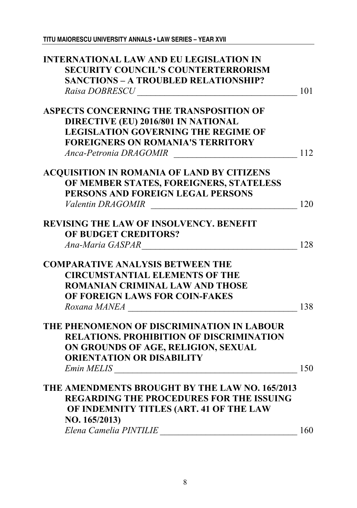| <b>INTERNATIONAL LAW AND EU LEGISLATION IN</b>                                 |     |
|--------------------------------------------------------------------------------|-----|
| <b>SECURITY COUNCIL'S COUNTERTERRORISM</b>                                     |     |
| <b>SANCTIONS - A TROUBLED RELATIONSHIP?</b>                                    |     |
|                                                                                | 101 |
| ASPECTS CONCERNING THE TRANSPOSITION OF                                        |     |
| DIRECTIVE (EU) 2016/801 IN NATIONAL                                            |     |
| <b>LEGISLATION GOVERNING THE REGIME OF</b>                                     |     |
| <b>FOREIGNERS ON ROMANIA'S TERRITORY</b>                                       |     |
| Anca-Petronia DRAGOMIR                                                         | 112 |
| <b>ACQUISITION IN ROMANIA OF LAND BY CITIZENS</b>                              |     |
| OF MEMBER STATES, FOREIGNERS, STATELESS                                        |     |
| PERSONS AND FOREIGN LEGAL PERSONS                                              |     |
| Valentin DRAGOMIR<br><u> 1980 - Johann Barbara, martxa amerikan personal (</u> | 120 |
| <b>REVISING THE LAW OF INSOLVENCY. BENEFIT</b>                                 |     |
| OF BUDGET CREDITORS?                                                           |     |
| Ana-Maria GASPAR                                                               | 128 |
| <b>COMPARATIVE ANALYSIS BETWEEN THE</b>                                        |     |
| <b>CIRCUMSTANTIAL ELEMENTS OF THE</b>                                          |     |
| ROMANIAN CRIMINAL LAW AND THOSE                                                |     |
| OF FOREIGN LAWS FOR COIN-FAKES                                                 |     |
| Roxana MANEA                                                                   | 138 |
| THE PHENOMENON OF DISCRIMINATION IN LABOUR                                     |     |
| <b>RELATIONS. PROHIBITION OF DISCRIMINATION</b>                                |     |
| ON GROUNDS OF AGE, RELIGION, SEXUAL                                            |     |
| <b>ORIENTATION OR DISABILITY</b>                                               |     |
|                                                                                | 150 |
| THE AMENDMENTS BROUGHT BY THE LAW NO. 165/2013                                 |     |
| <b>REGARDING THE PROCEDURES FOR THE ISSUING</b>                                |     |
| OF INDEMNITY TITLES (ART. 41 OF THE LAW                                        |     |
| NO. 165/2013)                                                                  |     |
| Elena Camelia PINTILIE                                                         | 160 |